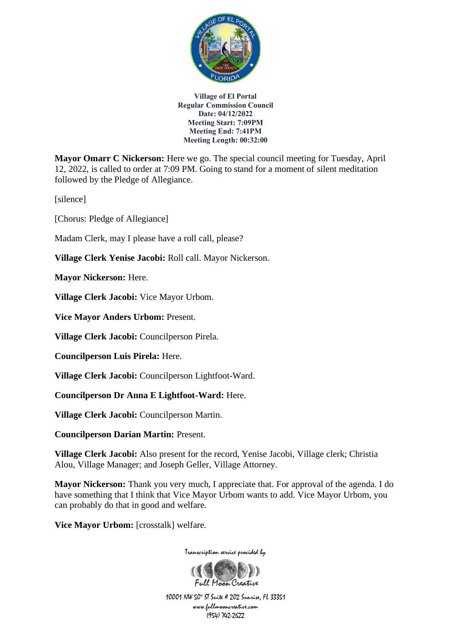

**Mayor Omarr C Nickerson:** Here we go. The special council meeting for Tuesday, April 12, 2022, is called to order at 7:09 PM. Going to stand for a moment of silent meditation followed by the Pledge of Allegiance.

[silence]

[Chorus: Pledge of Allegiance]

Madam Clerk, may I please have a roll call, please?

**Village Clerk Yenise Jacobi:** Roll call. Mayor Nickerson.

**Mayor Nickerson:** Here.

**Village Clerk Jacobi:** Vice Mayor Urbom.

**Vice Mayor Anders Urbom:** Present.

**Village Clerk Jacobi:** Councilperson Pirela.

**Councilperson Luis Pirela:** Here.

**Village Clerk Jacobi:** Councilperson Lightfoot-Ward.

**Councilperson Dr Anna E Lightfoot-Ward:** Here.

**Village Clerk Jacobi:** Councilperson Martin.

## **Councilperson Darian Martin:** Present.

**Village Clerk Jacobi:** Also present for the record, Yenise Jacobi, Village clerk; Christia Alou, Village Manager; and Joseph Geller, Village Attorney.

**Mayor Nickerson:** Thank you very much, I appreciate that. For approval of the agenda. I do have something that I think that Vice Mayor Urbom wants to add. Vice Mayor Urbom, you can probably do that in good and welfare.

**Vice Mayor Urbom:** [crosstalk] welfare.

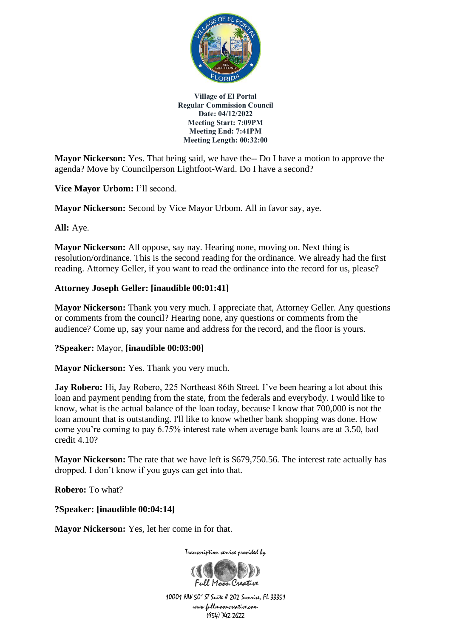

**Mayor Nickerson:** Yes. That being said, we have the-- Do I have a motion to approve the agenda? Move by Councilperson Lightfoot-Ward. Do I have a second?

**Vice Mayor Urbom:** I'll second.

**Mayor Nickerson:** Second by Vice Mayor Urbom. All in favor say, aye.

**All:** Aye.

**Mayor Nickerson:** All oppose, say nay. Hearing none, moving on. Next thing is resolution/ordinance. This is the second reading for the ordinance. We already had the first reading. Attorney Geller, if you want to read the ordinance into the record for us, please?

## **Attorney Joseph Geller: [inaudible 00:01:41]**

**Mayor Nickerson:** Thank you very much. I appreciate that, Attorney Geller. Any questions or comments from the council? Hearing none, any questions or comments from the audience? Come up, say your name and address for the record, and the floor is yours.

**?Speaker:** Mayor, **[inaudible 00:03:00]**

**Mayor Nickerson:** Yes. Thank you very much.

**Jay Robero:** Hi, Jay Robero, 225 Northeast 86th Street. I've been hearing a lot about this loan and payment pending from the state, from the federals and everybody. I would like to know, what is the actual balance of the loan today, because I know that 700,000 is not the loan amount that is outstanding. I'll like to know whether bank shopping was done. How come you're coming to pay 6.75% interest rate when average bank loans are at 3.50, bad credit 4.10?

**Mayor Nickerson:** The rate that we have left is \$679,750.56. The interest rate actually has dropped. I don't know if you guys can get into that.

**Robero:** To what?

**?Speaker: [inaudible 00:04:14]**

**Mayor Nickerson:** Yes, let her come in for that.

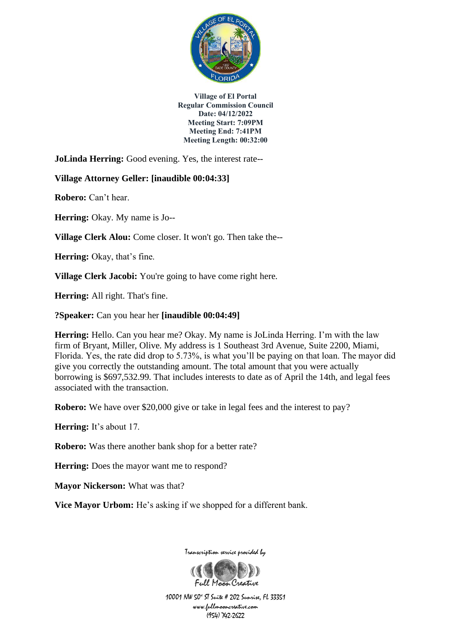

**JoLinda Herring:** Good evening. Yes, the interest rate--

**Village Attorney Geller: [inaudible 00:04:33]**

**Robero:** Can't hear.

**Herring:** Okay. My name is Jo--

**Village Clerk Alou:** Come closer. It won't go. Then take the--

**Herring:** Okay, that's fine.

**Village Clerk Jacobi:** You're going to have come right here.

**Herring:** All right. That's fine.

**?Speaker:** Can you hear her **[inaudible 00:04:49]**

**Herring:** Hello. Can you hear me? Okay. My name is JoLinda Herring. I'm with the law firm of Bryant, Miller, Olive. My address is 1 Southeast 3rd Avenue, Suite 2200, Miami, Florida. Yes, the rate did drop to 5.73%, is what you'll be paying on that loan. The mayor did give you correctly the outstanding amount. The total amount that you were actually borrowing is \$697,532.99. That includes interests to date as of April the 14th, and legal fees associated with the transaction.

**Robero:** We have over \$20,000 give or take in legal fees and the interest to pay?

**Herring:** It's about 17.

**Robero:** Was there another bank shop for a better rate?

**Herring:** Does the mayor want me to respond?

**Mayor Nickerson:** What was that?

**Vice Mayor Urbom:** He's asking if we shopped for a different bank.



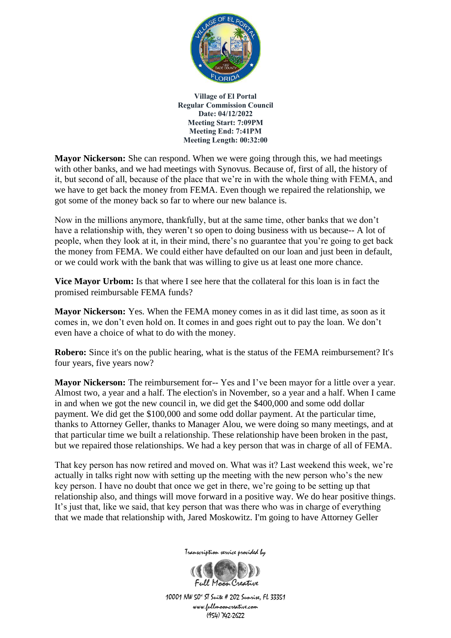

**Mayor Nickerson:** She can respond. When we were going through this, we had meetings with other banks, and we had meetings with Synovus. Because of, first of all, the history of it, but second of all, because of the place that we're in with the whole thing with FEMA, and we have to get back the money from FEMA. Even though we repaired the relationship, we got some of the money back so far to where our new balance is.

Now in the millions anymore, thankfully, but at the same time, other banks that we don't have a relationship with, they weren't so open to doing business with us because-- A lot of people, when they look at it, in their mind, there's no guarantee that you're going to get back the money from FEMA. We could either have defaulted on our loan and just been in default, or we could work with the bank that was willing to give us at least one more chance.

**Vice Mayor Urbom:** Is that where I see here that the collateral for this loan is in fact the promised reimbursable FEMA funds?

**Mayor Nickerson:** Yes. When the FEMA money comes in as it did last time, as soon as it comes in, we don't even hold on. It comes in and goes right out to pay the loan. We don't even have a choice of what to do with the money.

**Robero:** Since it's on the public hearing, what is the status of the FEMA reimbursement? It's four years, five years now?

**Mayor Nickerson:** The reimbursement for-- Yes and I've been mayor for a little over a year. Almost two, a year and a half. The election's in November, so a year and a half. When I came in and when we got the new council in, we did get the \$400,000 and some odd dollar payment. We did get the \$100,000 and some odd dollar payment. At the particular time, thanks to Attorney Geller, thanks to Manager Alou, we were doing so many meetings, and at that particular time we built a relationship. These relationship have been broken in the past, but we repaired those relationships. We had a key person that was in charge of all of FEMA.

That key person has now retired and moved on. What was it? Last weekend this week, we're actually in talks right now with setting up the meeting with the new person who's the new key person. I have no doubt that once we get in there, we're going to be setting up that relationship also, and things will move forward in a positive way. We do hear positive things. It's just that, like we said, that key person that was there who was in charge of everything that we made that relationship with, Jared Moskowitz. I'm going to have Attorney Geller

Transcription service provided by

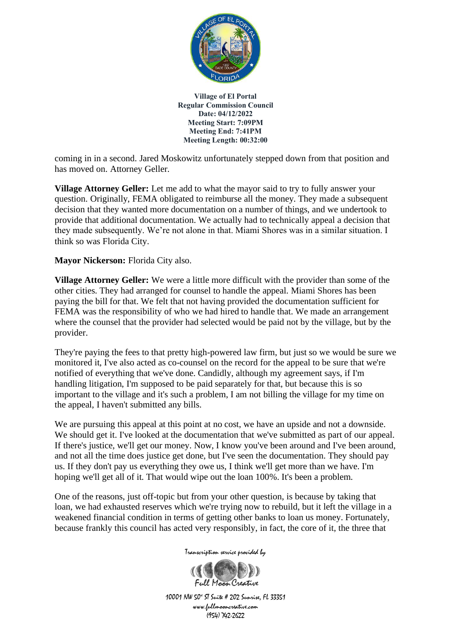

coming in in a second. Jared Moskowitz unfortunately stepped down from that position and has moved on. Attorney Geller.

**Village Attorney Geller:** Let me add to what the mayor said to try to fully answer your question. Originally, FEMA obligated to reimburse all the money. They made a subsequent decision that they wanted more documentation on a number of things, and we undertook to provide that additional documentation. We actually had to technically appeal a decision that they made subsequently. We're not alone in that. Miami Shores was in a similar situation. I think so was Florida City.

**Mayor Nickerson:** Florida City also.

**Village Attorney Geller:** We were a little more difficult with the provider than some of the other cities. They had arranged for counsel to handle the appeal. Miami Shores has been paying the bill for that. We felt that not having provided the documentation sufficient for FEMA was the responsibility of who we had hired to handle that. We made an arrangement where the counsel that the provider had selected would be paid not by the village, but by the provider.

They're paying the fees to that pretty high-powered law firm, but just so we would be sure we monitored it, I've also acted as co-counsel on the record for the appeal to be sure that we're notified of everything that we've done. Candidly, although my agreement says, if I'm handling litigation, I'm supposed to be paid separately for that, but because this is so important to the village and it's such a problem, I am not billing the village for my time on the appeal, I haven't submitted any bills.

We are pursuing this appeal at this point at no cost, we have an upside and not a downside. We should get it. I've looked at the documentation that we've submitted as part of our appeal. If there's justice, we'll get our money. Now, I know you've been around and I've been around, and not all the time does justice get done, but I've seen the documentation. They should pay us. If they don't pay us everything they owe us, I think we'll get more than we have. I'm hoping we'll get all of it. That would wipe out the loan 100%. It's been a problem.

One of the reasons, just off-topic but from your other question, is because by taking that loan, we had exhausted reserves which we're trying now to rebuild, but it left the village in a weakened financial condition in terms of getting other banks to loan us money. Fortunately, because frankly this council has acted very responsibly, in fact, the core of it, the three that

Transcription service provided by

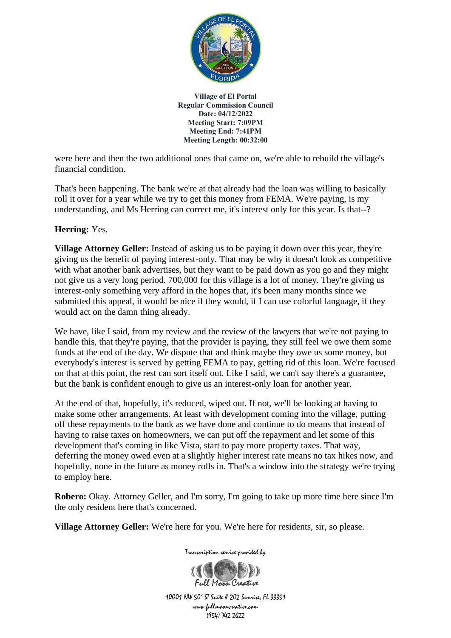

were here and then the two additional ones that came on, we're able to rebuild the village's financial condition.

That's been happening. The bank we're at that already had the loan was willing to basically roll it over for a year while we try to get this money from FEMA. We're paying, is my understanding, and Ms Herring can correct me, it's interest only for this year. Is that--?

## **Herring:** Yes.

**Village Attorney Geller:** Instead of asking us to be paying it down over this year, they're giving us the benefit of paying interest-only. That may be why it doesn't look as competitive with what another bank advertises, but they want to be paid down as you go and they might not give us a very long period. 700,000 for this village is a lot of money. They're giving us interest-only something very afford in the hopes that, it's been many months since we submitted this appeal, it would be nice if they would, if I can use colorful language, if they would act on the damn thing already.

We have, like I said, from my review and the review of the lawyers that we're not paying to handle this, that they're paying, that the provider is paying, they still feel we owe them some funds at the end of the day. We dispute that and think maybe they owe us some money, but everybody's interest is served by getting FEMA to pay, getting rid of this loan. We're focused on that at this point, the rest can sort itself out. Like I said, we can't say there's a guarantee, but the bank is confident enough to give us an interest-only loan for another year.

At the end of that, hopefully, it's reduced, wiped out. If not, we'll be looking at having to make some other arrangements. At least with development coming into the village, putting off these repayments to the bank as we have done and continue to do means that instead of having to raise taxes on homeowners, we can put off the repayment and let some of this development that's coming in like Vista, start to pay more property taxes. That way, deferring the money owed even at a slightly higher interest rate means no tax hikes now, and hopefully, none in the future as money rolls in. That's a window into the strategy we're trying to employ here.

**Robero:** Okay. Attorney Geller, and I'm sorry, I'm going to take up more time here since I'm the only resident here that's concerned.

**Village Attorney Geller:** We're here for you. We're here for residents, sir, so please.

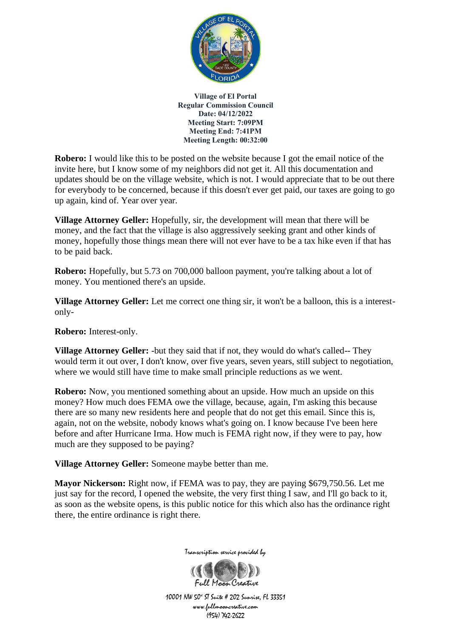

**Robero:** I would like this to be posted on the website because I got the email notice of the invite here, but I know some of my neighbors did not get it. All this documentation and updates should be on the village website, which is not. I would appreciate that to be out there for everybody to be concerned, because if this doesn't ever get paid, our taxes are going to go up again, kind of. Year over year.

**Village Attorney Geller:** Hopefully, sir, the development will mean that there will be money, and the fact that the village is also aggressively seeking grant and other kinds of money, hopefully those things mean there will not ever have to be a tax hike even if that has to be paid back.

**Robero:** Hopefully, but 5.73 on 700,000 balloon payment, you're talking about a lot of money. You mentioned there's an upside.

**Village Attorney Geller:** Let me correct one thing sir, it won't be a balloon, this is a interestonly-

**Robero:** Interest-only.

**Village Attorney Geller:** -but they said that if not, they would do what's called-- They would term it out over, I don't know, over five years, seven years, still subject to negotiation, where we would still have time to make small principle reductions as we went.

**Robero:** Now, you mentioned something about an upside. How much an upside on this money? How much does FEMA owe the village, because, again, I'm asking this because there are so many new residents here and people that do not get this email. Since this is, again, not on the website, nobody knows what's going on. I know because I've been here before and after Hurricane Irma. How much is FEMA right now, if they were to pay, how much are they supposed to be paying?

**Village Attorney Geller:** Someone maybe better than me.

**Mayor Nickerson:** Right now, if FEMA was to pay, they are paying \$679,750.56. Let me just say for the record, I opened the website, the very first thing I saw, and I'll go back to it, as soon as the website opens, is this public notice for this which also has the ordinance right there, the entire ordinance is right there.



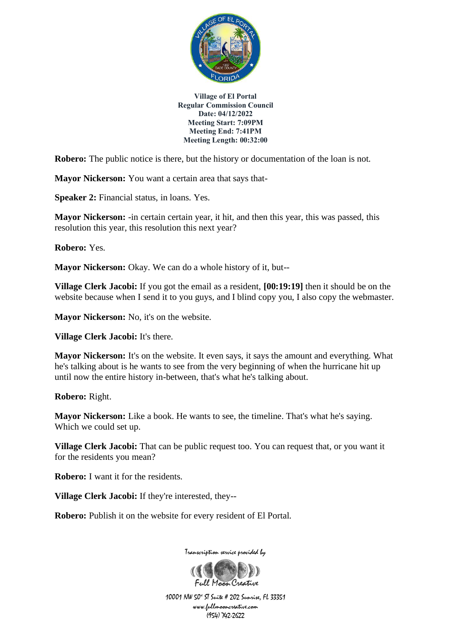

**Robero:** The public notice is there, but the history or documentation of the loan is not.

**Mayor Nickerson:** You want a certain area that says that-

**Speaker 2:** Financial status, in loans. Yes.

**Mayor Nickerson:** -in certain certain year, it hit, and then this year, this was passed, this resolution this year, this resolution this next year?

**Robero:** Yes.

**Mayor Nickerson:** Okay. We can do a whole history of it, but--

**Village Clerk Jacobi:** If you got the email as a resident, **[00:19:19]** then it should be on the website because when I send it to you guys, and I blind copy you, I also copy the webmaster.

**Mayor Nickerson:** No, it's on the website.

**Village Clerk Jacobi:** It's there.

**Mayor Nickerson:** It's on the website. It even says, it says the amount and everything. What he's talking about is he wants to see from the very beginning of when the hurricane hit up until now the entire history in-between, that's what he's talking about.

**Robero:** Right.

**Mayor Nickerson:** Like a book. He wants to see, the timeline. That's what he's saying. Which we could set up.

**Village Clerk Jacobi:** That can be public request too. You can request that, or you want it for the residents you mean?

**Robero:** I want it for the residents.

**Village Clerk Jacobi:** If they're interested, they--

**Robero:** Publish it on the website for every resident of El Portal.

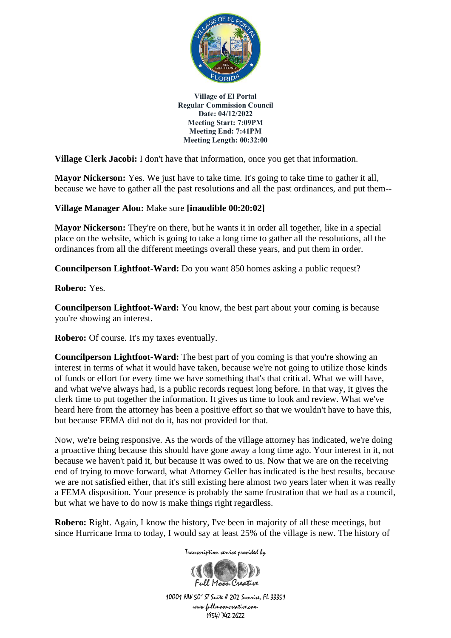

**Village Clerk Jacobi:** I don't have that information, once you get that information.

**Mayor Nickerson:** Yes. We just have to take time. It's going to take time to gather it all, because we have to gather all the past resolutions and all the past ordinances, and put them--

## **Village Manager Alou:** Make sure **[inaudible 00:20:02]**

**Mayor Nickerson:** They're on there, but he wants it in order all together, like in a special place on the website, which is going to take a long time to gather all the resolutions, all the ordinances from all the different meetings overall these years, and put them in order.

**Councilperson Lightfoot-Ward:** Do you want 850 homes asking a public request?

**Robero:** Yes.

**Councilperson Lightfoot-Ward:** You know, the best part about your coming is because you're showing an interest.

**Robero:** Of course. It's my taxes eventually.

**Councilperson Lightfoot-Ward:** The best part of you coming is that you're showing an interest in terms of what it would have taken, because we're not going to utilize those kinds of funds or effort for every time we have something that's that critical. What we will have, and what we've always had, is a public records request long before. In that way, it gives the clerk time to put together the information. It gives us time to look and review. What we've heard here from the attorney has been a positive effort so that we wouldn't have to have this, but because FEMA did not do it, has not provided for that.

Now, we're being responsive. As the words of the village attorney has indicated, we're doing a proactive thing because this should have gone away a long time ago. Your interest in it, not because we haven't paid it, but because it was owed to us. Now that we are on the receiving end of trying to move forward, what Attorney Geller has indicated is the best results, because we are not satisfied either, that it's still existing here almost two years later when it was really a FEMA disposition. Your presence is probably the same frustration that we had as a council, but what we have to do now is make things right regardless.

**Robero:** Right. Again, I know the history, I've been in majority of all these meetings, but since Hurricane Irma to today, I would say at least 25% of the village is new. The history of

Transcription service provided by

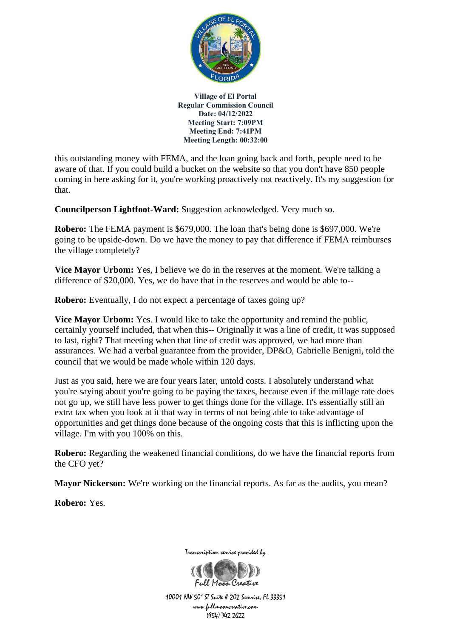

this outstanding money with FEMA, and the loan going back and forth, people need to be aware of that. If you could build a bucket on the website so that you don't have 850 people coming in here asking for it, you're working proactively not reactively. It's my suggestion for that.

**Councilperson Lightfoot-Ward:** Suggestion acknowledged. Very much so.

**Robero:** The FEMA payment is \$679,000. The loan that's being done is \$697,000. We're going to be upside-down. Do we have the money to pay that difference if FEMA reimburses the village completely?

**Vice Mayor Urbom:** Yes, I believe we do in the reserves at the moment. We're talking a difference of \$20,000. Yes, we do have that in the reserves and would be able to--

**Robero:** Eventually, I do not expect a percentage of taxes going up?

**Vice Mayor Urbom:** Yes. I would like to take the opportunity and remind the public, certainly yourself included, that when this-- Originally it was a line of credit, it was supposed to last, right? That meeting when that line of credit was approved, we had more than assurances. We had a verbal guarantee from the provider, DP&O, Gabrielle Benigni, told the council that we would be made whole within 120 days.

Just as you said, here we are four years later, untold costs. I absolutely understand what you're saying about you're going to be paying the taxes, because even if the millage rate does not go up, we still have less power to get things done for the village. It's essentially still an extra tax when you look at it that way in terms of not being able to take advantage of opportunities and get things done because of the ongoing costs that this is inflicting upon the village. I'm with you 100% on this.

**Robero:** Regarding the weakened financial conditions, do we have the financial reports from the CFO yet?

**Mayor Nickerson:** We're working on the financial reports. As far as the audits, you mean?

**Robero:** Yes.



Transcription service provided by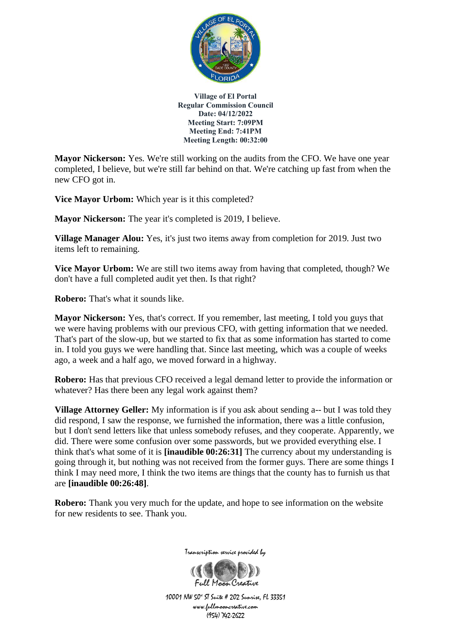

**Mayor Nickerson:** Yes. We're still working on the audits from the CFO. We have one year completed, I believe, but we're still far behind on that. We're catching up fast from when the new CFO got in.

**Vice Mayor Urbom:** Which year is it this completed?

**Mayor Nickerson:** The year it's completed is 2019, I believe.

**Village Manager Alou:** Yes, it's just two items away from completion for 2019. Just two items left to remaining.

**Vice Mayor Urbom:** We are still two items away from having that completed, though? We don't have a full completed audit yet then. Is that right?

**Robero:** That's what it sounds like.

**Mayor Nickerson:** Yes, that's correct. If you remember, last meeting, I told you guys that we were having problems with our previous CFO, with getting information that we needed. That's part of the slow-up, but we started to fix that as some information has started to come in. I told you guys we were handling that. Since last meeting, which was a couple of weeks ago, a week and a half ago, we moved forward in a highway.

**Robero:** Has that previous CFO received a legal demand letter to provide the information or whatever? Has there been any legal work against them?

**Village Attorney Geller:** My information is if you ask about sending a-- but I was told they did respond, I saw the response, we furnished the information, there was a little confusion, but I don't send letters like that unless somebody refuses, and they cooperate. Apparently, we did. There were some confusion over some passwords, but we provided everything else. I think that's what some of it is **[inaudible 00:26:31]** The currency about my understanding is going through it, but nothing was not received from the former guys. There are some things I think I may need more, I think the two items are things that the county has to furnish us that are **[inaudible 00:26:48]**.

**Robero:** Thank you very much for the update, and hope to see information on the website for new residents to see. Thank you.



Transcription service provided by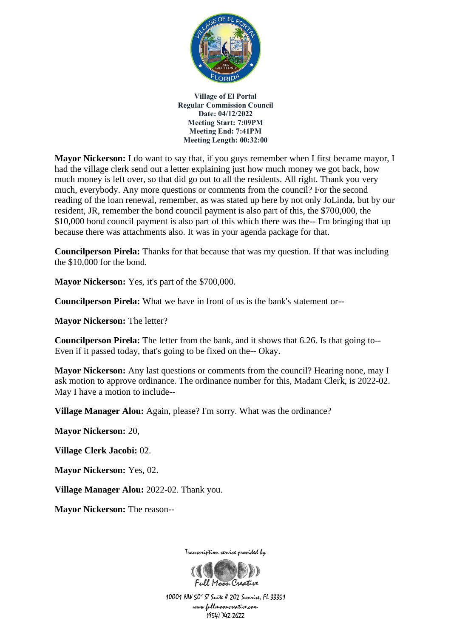

**Mayor Nickerson:** I do want to say that, if you guys remember when I first became mayor, I had the village clerk send out a letter explaining just how much money we got back, how much money is left over, so that did go out to all the residents. All right. Thank you very much, everybody. Any more questions or comments from the council? For the second reading of the loan renewal, remember, as was stated up here by not only JoLinda, but by our resident, JR, remember the bond council payment is also part of this, the \$700,000, the \$10,000 bond council payment is also part of this which there was the-- I'm bringing that up because there was attachments also. It was in your agenda package for that.

**Councilperson Pirela:** Thanks for that because that was my question. If that was including the \$10,000 for the bond.

**Mayor Nickerson:** Yes, it's part of the \$700,000.

**Councilperson Pirela:** What we have in front of us is the bank's statement or--

**Mayor Nickerson:** The letter?

**Councilperson Pirela:** The letter from the bank, and it shows that 6.26. Is that going to-- Even if it passed today, that's going to be fixed on the-- Okay.

**Mayor Nickerson:** Any last questions or comments from the council? Hearing none, may I ask motion to approve ordinance. The ordinance number for this, Madam Clerk, is 2022-02. May I have a motion to include--

**Village Manager Alou:** Again, please? I'm sorry. What was the ordinance?

**Mayor Nickerson:** 20,

**Village Clerk Jacobi:** 02.

**Mayor Nickerson:** Yes, 02.

**Village Manager Alou:** 2022-02. Thank you.

**Mayor Nickerson:** The reason--



Transcription service provided by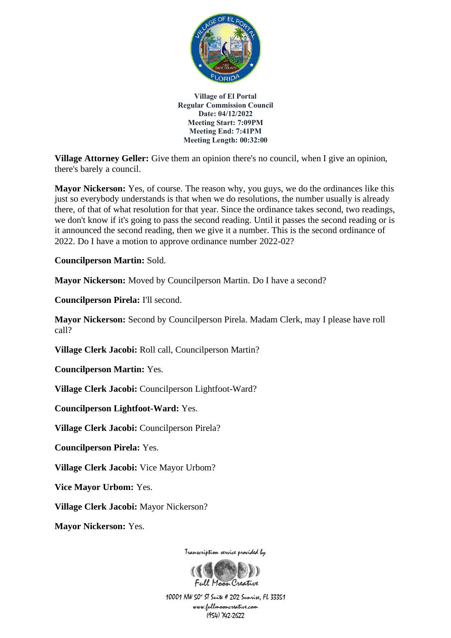

**Village Attorney Geller:** Give them an opinion there's no council, when I give an opinion, there's barely a council.

**Mayor Nickerson:** Yes, of course. The reason why, you guys, we do the ordinances like this just so everybody understands is that when we do resolutions, the number usually is already there, of that of what resolution for that year. Since the ordinance takes second, two readings, we don't know if it's going to pass the second reading. Until it passes the second reading or is it announced the second reading, then we give it a number. This is the second ordinance of 2022. Do I have a motion to approve ordinance number 2022-02?

**Councilperson Martin:** Sold.

**Mayor Nickerson:** Moved by Councilperson Martin. Do I have a second?

**Councilperson Pirela:** I'll second.

**Mayor Nickerson:** Second by Councilperson Pirela. Madam Clerk, may I please have roll call?

**Village Clerk Jacobi:** Roll call, Councilperson Martin?

**Councilperson Martin:** Yes.

**Village Clerk Jacobi:** Councilperson Lightfoot-Ward?

**Councilperson Lightfoot-Ward:** Yes.

**Village Clerk Jacobi:** Councilperson Pirela?

**Councilperson Pirela:** Yes.

**Village Clerk Jacobi:** Vice Mayor Urbom?

**Vice Mayor Urbom:** Yes.

**Village Clerk Jacobi:** Mayor Nickerson?

**Mayor Nickerson:** Yes.

Transcription service provided by

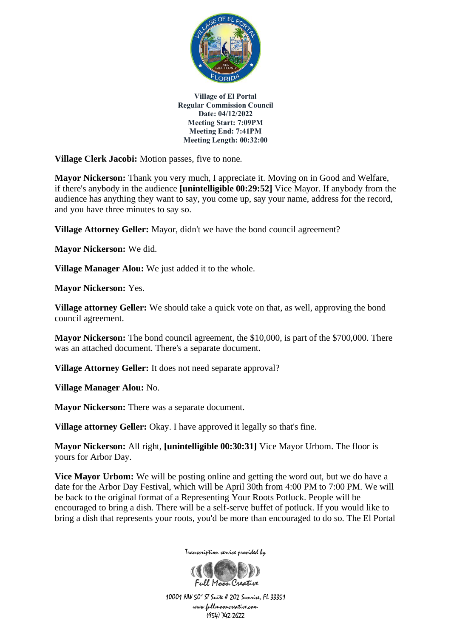

**Village Clerk Jacobi:** Motion passes, five to none.

**Mayor Nickerson:** Thank you very much, I appreciate it. Moving on in Good and Welfare, if there's anybody in the audience **[unintelligible 00:29:52]** Vice Mayor. If anybody from the audience has anything they want to say, you come up, say your name, address for the record, and you have three minutes to say so.

**Village Attorney Geller:** Mayor, didn't we have the bond council agreement?

**Mayor Nickerson:** We did.

**Village Manager Alou:** We just added it to the whole.

**Mayor Nickerson:** Yes.

**Village attorney Geller:** We should take a quick vote on that, as well, approving the bond council agreement.

**Mayor Nickerson:** The bond council agreement, the \$10,000, is part of the \$700,000. There was an attached document. There's a separate document.

**Village Attorney Geller:** It does not need separate approval?

**Village Manager Alou:** No.

**Mayor Nickerson:** There was a separate document.

**Village attorney Geller:** Okay. I have approved it legally so that's fine.

**Mayor Nickerson:** All right, **[unintelligible 00:30:31]** Vice Mayor Urbom. The floor is yours for Arbor Day.

**Vice Mayor Urbom:** We will be posting online and getting the word out, but we do have a date for the Arbor Day Festival, which will be April 30th from 4:00 PM to 7:00 PM. We will be back to the original format of a Representing Your Roots Potluck. People will be encouraged to bring a dish. There will be a self-serve buffet of potluck. If you would like to bring a dish that represents your roots, you'd be more than encouraged to do so. The El Portal